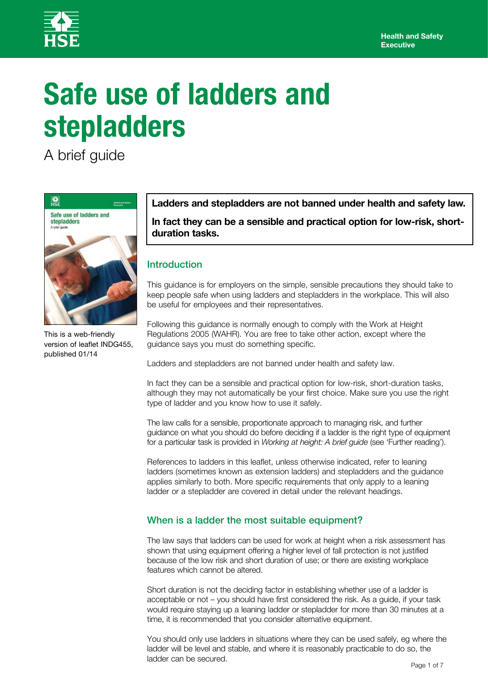

# **Safe use of ladders and stepladders**

A brief guide



This is a web-friendly version of leaflet INDG455, published 01/14

**Ladders and stepladders are not banned under health and safety law.**

**In fact they can be a sensible and practical option for low-risk, shortduration tasks.**

# Introduction

This guidance is for employers on the simple, sensible precautions they should take to keep people safe when using ladders and stepladders in the workplace. This will also be useful for employees and their representatives.

Following this guidance is normally enough to comply with the Work at Height Regulations 2005 (WAHR). You are free to take other action, except where the guidance says you must do something specific.

Ladders and stepladders are not banned under health and safety law.

In fact they can be a sensible and practical option for low-risk, short-duration tasks, although they may not automatically be your first choice. Make sure you use the right type of ladder and you know how to use it safely.

The law calls for a sensible, proportionate approach to managing risk, and further guidance on what you should do before deciding if a ladder is the right type of equipment for a particular task is provided in *Working at height: A brief guide* (see 'Further reading').

References to ladders in this leaflet, unless otherwise indicated, refer to leaning ladders (sometimes known as extension ladders) and stepladders and the guidance applies similarly to both. More specific requirements that only apply to a leaning ladder or a stepladder are covered in detail under the relevant headings.

# When is a ladder the most suitable equipment?

The law says that ladders can be used for work at height when a risk assessment has shown that using equipment offering a higher level of fall protection is not justified because of the low risk and short duration of use; or there are existing workplace features which cannot be altered.

Short duration is not the deciding factor in establishing whether use of a ladder is acceptable or not – you should have first considered the risk. As a guide, if your task would require staying up a leaning ladder or stepladder for more than 30 minutes at a time, it is recommended that you consider alternative equipment.

You should only use ladders in situations where they can be used safely, eg where the ladder will be level and stable, and where it is reasonably practicable to do so, the ladder can be secured.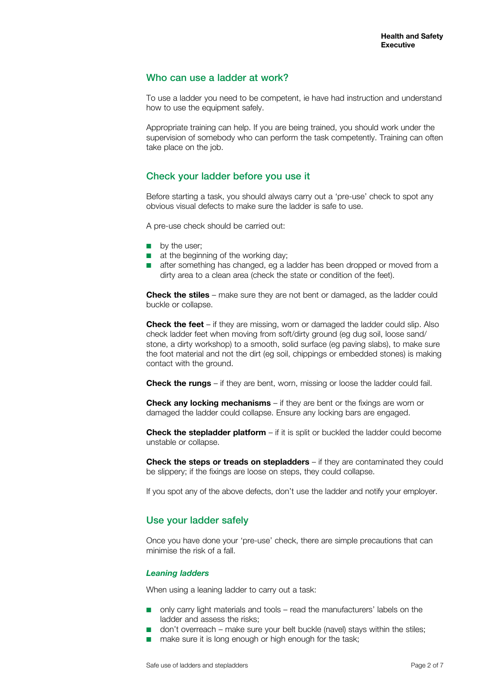## Who can use a ladder at work?

To use a ladder you need to be competent, ie have had instruction and understand how to use the equipment safely.

Appropriate training can help. If you are being trained, you should work under the supervision of somebody who can perform the task competently. Training can often take place on the job.

# Check your ladder before you use it

Before starting a task, you should always carry out a 'pre-use' check to spot any obvious visual defects to make sure the ladder is safe to use.

A pre-use check should be carried out:

- by the user;
- at the beginning of the working day:
- after something has changed, eg a ladder has been dropped or moved from a dirty area to a clean area (check the state or condition of the feet).

**Check the stiles** – make sure they are not bent or damaged, as the ladder could buckle or collapse.

**Check the feet** – if they are missing, worn or damaged the ladder could slip. Also check ladder feet when moving from soft/dirty ground (eg dug soil, loose sand/ stone, a dirty workshop) to a smooth, solid surface (eg paving slabs), to make sure the foot material and not the dirt (eg soil, chippings or embedded stones) is making contact with the ground.

**Check the rungs** – if they are bent, worn, missing or loose the ladder could fail.

**Check any locking mechanisms** – if they are bent or the fixings are worn or damaged the ladder could collapse. Ensure any locking bars are engaged.

**Check the stepladder platform** – if it is split or buckled the ladder could become unstable or collapse.

**Check the steps or treads on stepladders** – if they are contaminated they could be slippery; if the fixings are loose on steps, they could collapse.

If you spot any of the above defects, don't use the ladder and notify your employer.

## Use your ladder safely

Once you have done your 'pre-use' check, there are simple precautions that can minimise the risk of a fall.

#### *Leaning ladders*

When using a leaning ladder to carry out a task:

- only carry light materials and tools read the manufacturers' labels on the ladder and assess the risks;
- don't overreach make sure your belt buckle (navel) stays within the stiles;
- make sure it is long enough or high enough for the task;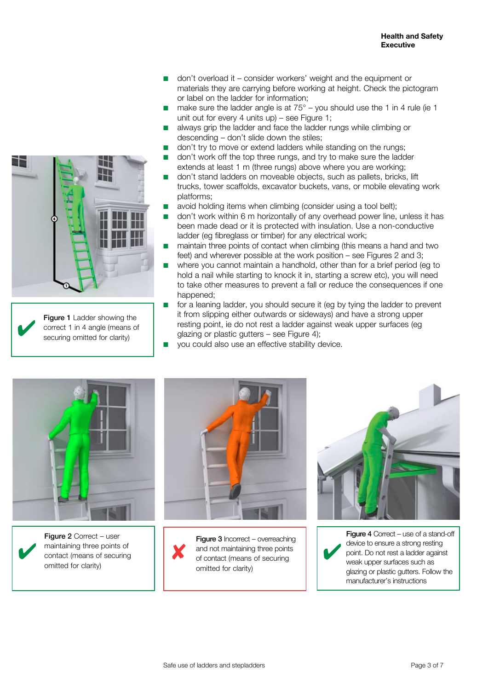- don't overload it consider workers' weight and the equipment or materials they are carrying before working at height. Check the pictogram or label on the ladder for information;
- make sure the ladder angle is at  $75^{\circ}$  you should use the 1 in 4 rule (ie 1 unit out for every 4 units up) – see Figure 1;
- always grip the ladder and face the ladder rungs while climbing or descending – don't slide down the stiles;
- don't try to move or extend ladders while standing on the rungs:
- don't work off the top three rungs, and try to make sure the ladder extends at least 1 m (three rungs) above where you are working;
- don't stand ladders on moveable objects, such as pallets, bricks, lift trucks, tower scaffolds, excavator buckets, vans, or mobile elevating work platforms;
- avoid holding items when climbing (consider using a tool belt):
- don't work within 6 m horizontally of any overhead power line, unless it has been made dead or it is protected with insulation. Use a non-conductive ladder (eg fibreglass or timber) for any electrical work;
- maintain three points of contact when climbing (this means a hand and two feet) and wherever possible at the work position – see Figures 2 and 3:
- where you cannot maintain a handhold, other than for a brief period (eg to hold a nail while starting to knock it in, starting a screw etc), you will need to take other measures to prevent a fall or reduce the consequences if one happened:
- for a leaning ladder, you should secure it (eg by tying the ladder to prevent it from slipping either outwards or sideways) and have a strong upper resting point, ie do not rest a ladder against weak upper surfaces (eg glazing or plastic gutters – see Figure 4);
- you could also use an effective stability device.





Figure 2 Correct - user maintaining three points of contact (means of securing omitted for clarity)



Figure 3 Incorrect – overreaching and not maintaining three points<br>
of contact (means of securing of contact (means of securing omitted for clarity)



I

Figure 4 Correct – use of a stand-off device to ensure a strong resting point. Do not rest a ladder against weak upper surfaces such as glazing or plastic gutters. Follow the manufacturer's instructions



Figure 1 Ladder showing the correct 1 in 4 angle (means of securing omitted for clarity)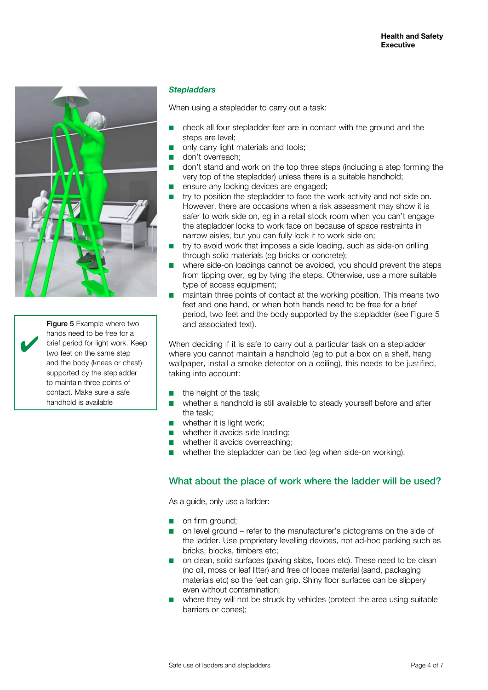

Figure 5 Example where two hands need to be free for a brief period for light work. Keep two feet on the same step and the body (knees or chest) supported by the stepladder to maintain three points of contact. Make sure a safe handhold is available

 $\overline{\mathbf{v}}$ 

#### *Stepladders*

When using a stepladder to carry out a task:

- check all four stepladder feet are in contact with the ground and the steps are level;
- only carry light materials and tools:
- don't overreach;
- don't stand and work on the top three steps (including a step forming the very top of the stepladder) unless there is a suitable handhold;
- ensure any locking devices are engaged;
- try to position the stepladder to face the work activity and not side on. However, there are occasions when a risk assessment may show it is safer to work side on, eg in a retail stock room when you can't engage the stepladder locks to work face on because of space restraints in narrow aisles, but you can fully lock it to work side on;
- try to avoid work that imposes a side loading, such as side-on drilling through solid materials (eg bricks or concrete);
- where side-on loadings cannot be avoided, you should prevent the steps from tipping over, eg by tying the steps. Otherwise, use a more suitable type of access equipment;
- maintain three points of contact at the working position. This means two feet and one hand, or when both hands need to be free for a brief period, two feet and the body supported by the stepladder (see Figure 5 and associated text).

When deciding if it is safe to carry out a particular task on a stepladder where you cannot maintain a handhold (eg to put a box on a shelf, hang wallpaper, install a smoke detector on a ceiling), this needs to be justified, taking into account:

- the height of the task;
- whether a handhold is still available to steady yourself before and after the task;
- whether it is light work;
- whether it avoids side loading;
- whether it avoids overreaching;
- whether the stepladder can be tied (eg when side-on working).

## What about the place of work where the ladder will be used?

As a guide, only use a ladder:

- on firm ground;
- on level ground refer to the manufacturer's pictograms on the side of the ladder. Use proprietary levelling devices, not ad-hoc packing such as bricks, blocks, timbers etc;
- on clean, solid surfaces (paving slabs, floors etc). These need to be clean (no oil, moss or leaf litter) and free of loose material (sand, packaging materials etc) so the feet can grip. Shiny floor surfaces can be slippery even without contamination;
- where they will not be struck by vehicles (protect the area using suitable barriers or cones);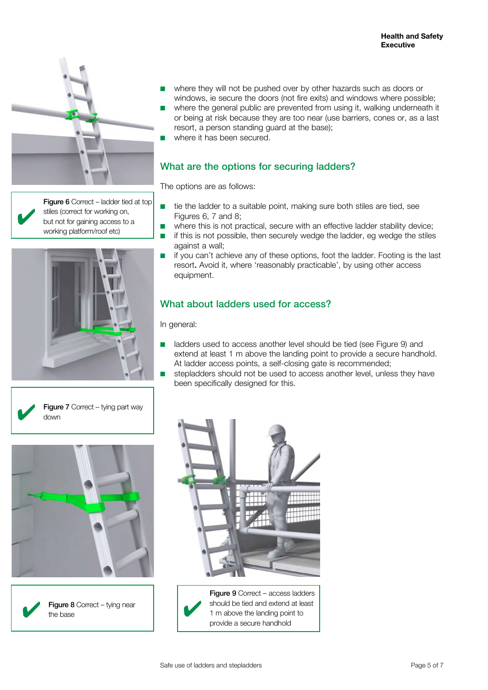

Figure 6 Correct – ladder tied at top stiles (correct for working on, but not for gaining access to a working platform/roof etc)









- where they will not be pushed over by other hazards such as doors or windows, ie secure the doors (not fire exits) and windows where possible;
- where the general public are prevented from using it, walking underneath it or being at risk because they are too near (use barriers, cones or, as a last resort, a person standing guard at the base);
- where it has been secured.

# What are the options for securing ladders?

The options are as follows:

- tie the ladder to a suitable point, making sure both stiles are tied, see Figures 6, 7 and 8;
- where this is not practical, secure with an effective ladder stability device;
- if this is not possible, then securely wedge the ladder, eg wedge the stiles against a wall;
- if you can't achieve any of these options, foot the ladder. Footing is the last resort. Avoid it, where 'reasonably practicable', by using other access equipment.

# What about ladders used for access?

In general:

- ladders used to access another level should be tied (see Figure 9) and extend at least 1 m above the landing point to provide a secure handhold. At ladder access points, a self-closing gate is recommended;
- stepladders should not be used to access another level, unless they have been specifically designed for this.



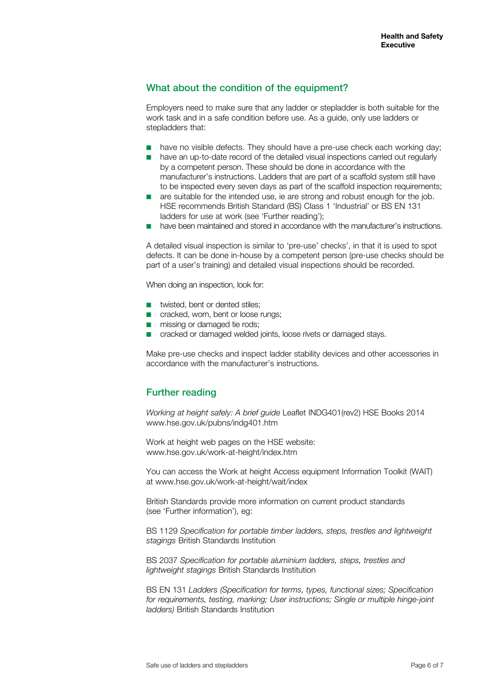# What about the condition of the equipment?

Employers need to make sure that any ladder or stepladder is both suitable for the work task and in a safe condition before use. As a guide, only use ladders or stepladders that:

- have no visible defects. They should have a pre-use check each working day:
- have an up-to-date record of the detailed visual inspections carried out regularly by a competent person. These should be done in accordance with the manufacturer's instructions. Ladders that are part of a scaffold system still have to be inspected every seven days as part of the scaffold inspection requirements;
- are suitable for the intended use, ie are strong and robust enough for the job. HSE recommends British Standard (BS) Class 1 'Industrial' or BS EN 131 ladders for use at work (see 'Further reading');
- have been maintained and stored in accordance with the manufacturer's instructions.

A detailed visual inspection is similar to 'pre-use' checks', in that it is used to spot defects. It can be done in-house by a competent person (pre-use checks should be part of a user's training) and detailed visual inspections should be recorded.

When doing an inspection, look for:

- twisted, bent or dented stiles;
- cracked, worn, bent or loose rungs;
- missing or damaged tie rods;
- cracked or damaged welded joints, loose rivets or damaged stays.

Make pre-use checks and inspect ladder stability devices and other accessories in accordance with the manufacturer's instructions.

## Further reading

*Working at height safely: A brief guide* Leaflet INDG401(rev2) HSE Books 2014 www.hse.gov.uk/pubns/indg401.htm

Work at height web pages on the HSE website: www.hse.gov.uk/work-at-height/index.htm

You can access the Work at height Access equipment Information Toolkit (WAIT) at www.hse.gov.uk/work-at-height/wait/index

British Standards provide more information on current product standards (see 'Further information'), eg:

BS 1129 *Specification for portable timber ladders, steps, trestles and lightweight stagings* British Standards Institution

BS 2037 *Specification for portable aluminium ladders, steps, trestles and lightweight stagings* British Standards Institution

BS EN 131 *Ladders (Specification for terms, types, functional sizes; Specification for requirements, testing, marking; User instructions; Single or multiple hinge-joint ladders)* British Standards Institution